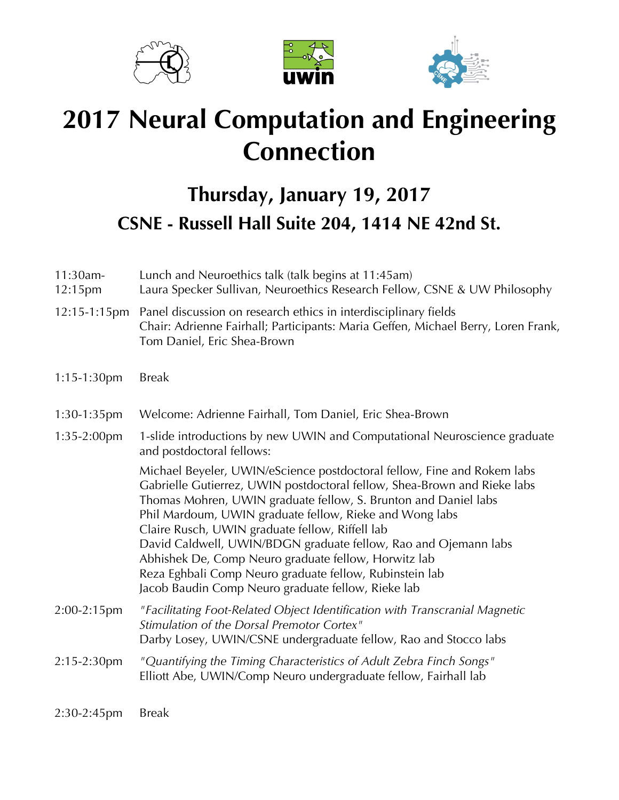





## **2017 Neural Computation and Engineering Connection**

## **Thursday, January 19, 2017 CSNE - Russell Hall Suite 204, 1414 NE 42nd St.**

| 11:30am-<br>12:15pm | Lunch and Neuroethics talk (talk begins at 11:45am)<br>Laura Specker Sullivan, Neuroethics Research Fellow, CSNE & UW Philosophy                                                                                                                                                                                                                                                                                                                                                                                                                                                 |
|---------------------|----------------------------------------------------------------------------------------------------------------------------------------------------------------------------------------------------------------------------------------------------------------------------------------------------------------------------------------------------------------------------------------------------------------------------------------------------------------------------------------------------------------------------------------------------------------------------------|
| 12:15-1:15pm        | Panel discussion on research ethics in interdisciplinary fields<br>Chair: Adrienne Fairhall; Participants: Maria Geffen, Michael Berry, Loren Frank,<br>Tom Daniel, Eric Shea-Brown                                                                                                                                                                                                                                                                                                                                                                                              |
| $1:15-1:30$ pm      | <b>Break</b>                                                                                                                                                                                                                                                                                                                                                                                                                                                                                                                                                                     |
| $1:30-1:35$ pm      | Welcome: Adrienne Fairhall, Tom Daniel, Eric Shea-Brown                                                                                                                                                                                                                                                                                                                                                                                                                                                                                                                          |
| $1:35-2:00$ pm      | 1-slide introductions by new UWIN and Computational Neuroscience graduate<br>and postdoctoral fellows:                                                                                                                                                                                                                                                                                                                                                                                                                                                                           |
|                     | Michael Beyeler, UWIN/eScience postdoctoral fellow, Fine and Rokem labs<br>Gabrielle Gutierrez, UWIN postdoctoral fellow, Shea-Brown and Rieke labs<br>Thomas Mohren, UWIN graduate fellow, S. Brunton and Daniel labs<br>Phil Mardoum, UWIN graduate fellow, Rieke and Wong labs<br>Claire Rusch, UWIN graduate fellow, Riffell lab<br>David Caldwell, UWIN/BDGN graduate fellow, Rao and Ojemann labs<br>Abhishek De, Comp Neuro graduate fellow, Horwitz lab<br>Reza Eghbali Comp Neuro graduate fellow, Rubinstein lab<br>Jacob Baudin Comp Neuro graduate fellow, Rieke lab |
| 2:00-2:15pm         | "Facilitating Foot-Related Object Identification with Transcranial Magnetic<br>Stimulation of the Dorsal Premotor Cortex"<br>Darby Losey, UWIN/CSNE undergraduate fellow, Rao and Stocco labs                                                                                                                                                                                                                                                                                                                                                                                    |
| 2:15-2:30pm         | "Quantifying the Timing Characteristics of Adult Zebra Finch Songs"<br>Elliott Abe, UWIN/Comp Neuro undergraduate fellow, Fairhall lab                                                                                                                                                                                                                                                                                                                                                                                                                                           |
| 2:30-2:45pm         | <b>Break</b>                                                                                                                                                                                                                                                                                                                                                                                                                                                                                                                                                                     |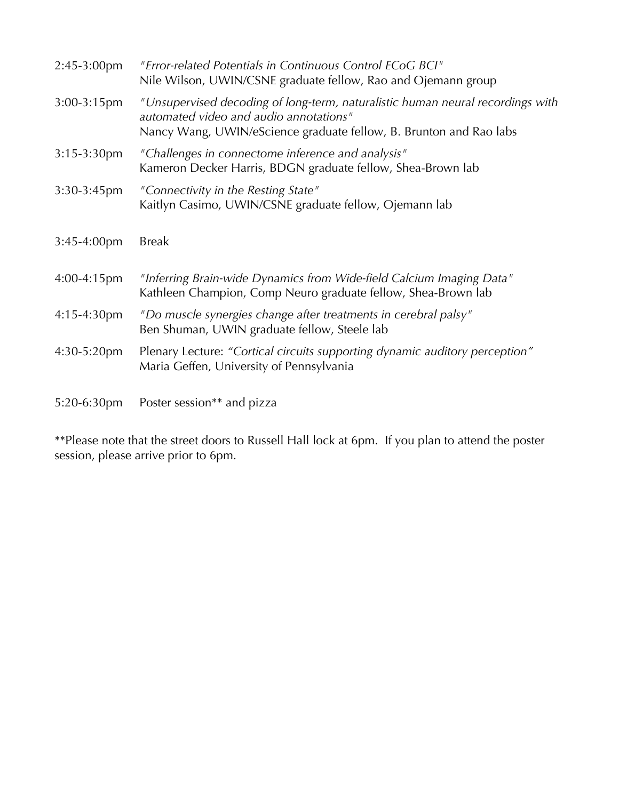| 2:45-3:00pm      | "Error-related Potentials in Continuous Control ECoG BCI"<br>Nile Wilson, UWIN/CSNE graduate fellow, Rao and Ojemann group                                                                     |
|------------------|------------------------------------------------------------------------------------------------------------------------------------------------------------------------------------------------|
| 3:00-3:15pm      | "Unsupervised decoding of long-term, naturalistic human neural recordings with<br>automated video and audio annotations"<br>Nancy Wang, UWIN/eScience graduate fellow, B. Brunton and Rao labs |
| $3:15-3:30$ pm   | "Challenges in connectome inference and analysis"<br>Kameron Decker Harris, BDGN graduate fellow, Shea-Brown lab                                                                               |
| 3:30-3:45pm      | "Connectivity in the Resting State"<br>Kaitlyn Casimo, UWIN/CSNE graduate fellow, Ojemann lab                                                                                                  |
| $3:45-4:00$ pm   | <b>Break</b>                                                                                                                                                                                   |
| $4:00 - 4:15$ pm | "Inferring Brain-wide Dynamics from Wide-field Calcium Imaging Data"<br>Kathleen Champion, Comp Neuro graduate fellow, Shea-Brown lab                                                          |
| 4:15-4:30pm      | "Do muscle synergies change after treatments in cerebral palsy"<br>Ben Shuman, UWIN graduate fellow, Steele lab                                                                                |
| 4:30-5:20pm      | Plenary Lecture: "Cortical circuits supporting dynamic auditory perception"<br>Maria Geffen, University of Pennsylvania                                                                        |
| 5:20-6:30pm      | Poster session** and pizza                                                                                                                                                                     |

\*\*Please note that the street doors to Russell Hall lock at 6pm. If you plan to attend the poster session, please arrive prior to 6pm.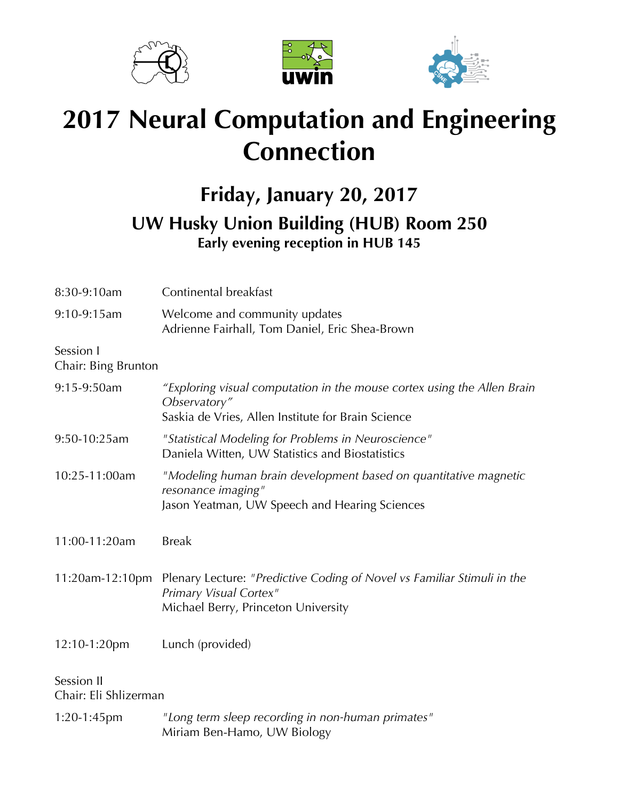





## **2017 Neural Computation and Engineering Connection**

## **Friday, January 20, 2017 UW Husky Union Building (HUB) Room 250 Early evening reception in HUB 145**

| 8:30-9:10am                         | Continental breakfast                                                                                                                         |
|-------------------------------------|-----------------------------------------------------------------------------------------------------------------------------------------------|
| 9:10-9:15am                         | Welcome and community updates<br>Adrienne Fairhall, Tom Daniel, Eric Shea-Brown                                                               |
| Session I<br>Chair: Bing Brunton    |                                                                                                                                               |
| 9:15-9:50am                         | "Exploring visual computation in the mouse cortex using the Allen Brain<br>Observatory"<br>Saskia de Vries, Allen Institute for Brain Science |
| 9:50-10:25am                        | "Statistical Modeling for Problems in Neuroscience"<br>Daniela Witten, UW Statistics and Biostatistics                                        |
| 10:25-11:00am                       | "Modeling human brain development based on quantitative magnetic<br>resonance imaging"<br>Jason Yeatman, UW Speech and Hearing Sciences       |
| 11:00-11:20am                       | <b>Break</b>                                                                                                                                  |
| 11:20am-12:10pm                     | Plenary Lecture: "Predictive Coding of Novel vs Familiar Stimuli in the<br>Primary Visual Cortex"<br>Michael Berry, Princeton University      |
| 12:10-1:20pm                        | Lunch (provided)                                                                                                                              |
| Session II<br>Chair: Eli Shlizerman |                                                                                                                                               |
| 1:20-1:45pm                         | "Long term sleep recording in non-human primates"<br>Miriam Ben-Hamo, UW Biology                                                              |